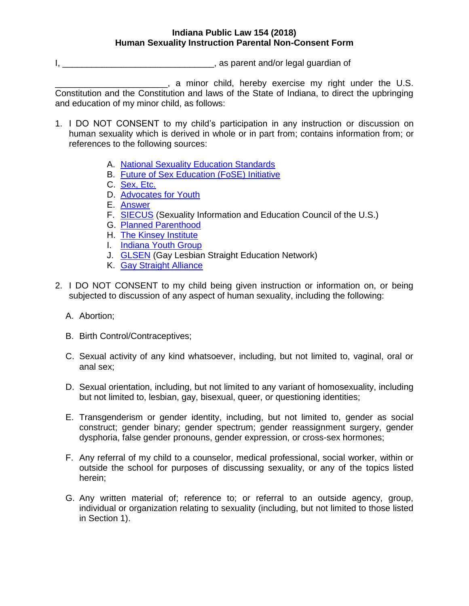## **Indiana Public Law 154 (2018) Human Sexuality Instruction Parental Non-Consent Form**

I, \_\_\_\_\_\_\_\_\_\_\_\_\_\_\_\_\_\_\_\_\_\_\_\_\_\_\_\_\_\_\_, as parent and/or legal guardian of

\_\_\_\_\_\_\_\_\_\_\_\_\_\_\_\_\_\_\_\_\_\_\_, a minor child, hereby exercise my right under the U.S. Constitution and the Constitution and laws of the State of Indiana, to direct the upbringing and education of my minor child, as follows:

- 1. I DO NOT CONSENT to my child's participation in any instruction or discussion on human sexuality which is derived in whole or in part from; contains information from; or references to the following sources:
	- A. [National Sexuality Education Standards](http://www.futureofsexed.org/documents/josh-fose-standards-web.pdf)
	- B. [Future of Sex Education \(FoSE\) Initiative](http://www.futureofsexed.org/)
	- C. [Sex, Etc.](https://sexetc.org/)
	- D. [Advocates for Youth](http://www.advocatesforyouth.org/)
	- E. [Answer](http://answer.rutgers.edu/)
	- F. [SIECUS](http://www.siecus.org/) (Sexuality Information and Education Council of the U.S.)
	- G. [Planned Parenthood](http://www.plannedparenthood.org/)
	- H. [The Kinsey Institute](http://www.kinseyinstitute.org/)
	- I. [Indiana Youth Group](http://www.indianayouthgroup.org/)
	- J. **[GLSEN](https://www.glsen.org/)** (Gay Lesbian Straight Education Network)
	- K. [Gay Straight Alliance](https://gsanetwork.org/)
- 2. I DO NOT CONSENT to my child being given instruction or information on, or being subjected to discussion of any aspect of human sexuality, including the following:
	- A. Abortion;
	- B. Birth Control/Contraceptives;
	- C. Sexual activity of any kind whatsoever, including, but not limited to, vaginal, oral or anal sex;
	- D. Sexual orientation, including, but not limited to any variant of homosexuality, including but not limited to, lesbian, gay, bisexual, queer, or questioning identities;
	- E. Transgenderism or gender identity, including, but not limited to, gender as social construct; gender binary; gender spectrum; gender reassignment surgery, gender dysphoria, false gender pronouns, gender expression, or cross-sex hormones;
	- F. Any referral of my child to a counselor, medical professional, social worker, within or outside the school for purposes of discussing sexuality, or any of the topics listed herein;
	- G. Any written material of; reference to; or referral to an outside agency, group, individual or organization relating to sexuality (including, but not limited to those listed in Section 1).